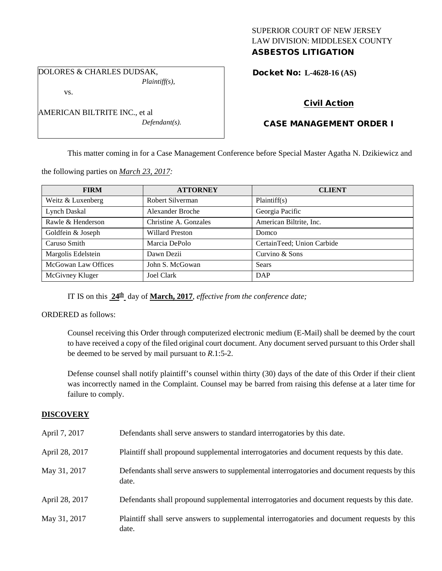# SUPERIOR COURT OF NEW JERSEY LAW DIVISION: MIDDLESEX COUNTY ASBESTOS LITIGATION

DOLORES & CHARLES DUDSAK, *Plaintiff(s),*

vs.

| AMERICAN BILTRITE INC., et al |  |
|-------------------------------|--|
| $Defendant(s)$ .              |  |

Docket No: **L-4628-16 (AS)** 

# Civil Action

# CASE MANAGEMENT ORDER I

This matter coming in for a Case Management Conference before Special Master Agatha N. Dzikiewicz and

the following parties on *March 23, 2017:*

| <b>FIRM</b>                | <b>ATTORNEY</b>       | <b>CLIENT</b>              |
|----------------------------|-----------------------|----------------------------|
| Weitz & Luxenberg          | Robert Silverman      | Plaintiff(s)               |
| Lynch Daskal               | Alexander Broche      | Georgia Pacific            |
| Rawle & Henderson          | Christine A. Gonzales | American Biltrite, Inc.    |
| Goldfein & Joseph          | Willard Preston       | Domco                      |
| Caruso Smith               | Marcia DePolo         | CertainTeed; Union Carbide |
| Margolis Edelstein         | Dawn Dezii            | Curvino & Sons             |
| <b>McGowan Law Offices</b> | John S. McGowan       | Sears                      |
| McGivney Kluger            | <b>Joel Clark</b>     | <b>DAP</b>                 |

IT IS on this **24th** day of **March, 2017**, *effective from the conference date;*

ORDERED as follows:

Counsel receiving this Order through computerized electronic medium (E-Mail) shall be deemed by the court to have received a copy of the filed original court document. Any document served pursuant to this Order shall be deemed to be served by mail pursuant to *R*.1:5-2.

Defense counsel shall notify plaintiff's counsel within thirty (30) days of the date of this Order if their client was incorrectly named in the Complaint. Counsel may be barred from raising this defense at a later time for failure to comply.

# **DISCOVERY**

| April 7, 2017  | Defendants shall serve answers to standard interrogatories by this date.                              |
|----------------|-------------------------------------------------------------------------------------------------------|
| April 28, 2017 | Plaintiff shall propound supplemental interrogatories and document requests by this date.             |
| May 31, 2017   | Defendants shall serve answers to supplemental interrogatories and document requests by this<br>date. |
| April 28, 2017 | Defendants shall propound supplemental interrogatories and document requests by this date.            |
| May 31, 2017   | Plaintiff shall serve answers to supplemental interrogatories and document requests by this<br>date.  |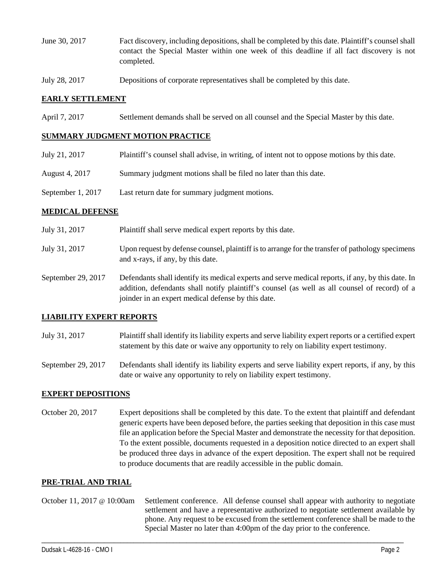- June 30, 2017 Fact discovery, including depositions, shall be completed by this date. Plaintiff's counsel shall contact the Special Master within one week of this deadline if all fact discovery is not completed.
- July 28, 2017 Depositions of corporate representatives shall be completed by this date.

## **EARLY SETTLEMENT**

April 7, 2017 Settlement demands shall be served on all counsel and the Special Master by this date.

### **SUMMARY JUDGMENT MOTION PRACTICE**

- July 21, 2017 Plaintiff's counsel shall advise, in writing, of intent not to oppose motions by this date.
- August 4, 2017 Summary judgment motions shall be filed no later than this date.
- September 1, 2017 Last return date for summary judgment motions.

### **MEDICAL DEFENSE**

- July 31, 2017 Plaintiff shall serve medical expert reports by this date.
- July 31, 2017 Upon request by defense counsel, plaintiff is to arrange for the transfer of pathology specimens and x-rays, if any, by this date.
- September 29, 2017 Defendants shall identify its medical experts and serve medical reports, if any, by this date. In addition, defendants shall notify plaintiff's counsel (as well as all counsel of record) of a joinder in an expert medical defense by this date.

### **LIABILITY EXPERT REPORTS**

July 31, 2017 Plaintiff shall identify its liability experts and serve liability expert reports or a certified expert statement by this date or waive any opportunity to rely on liability expert testimony.

September 29, 2017 Defendants shall identify its liability experts and serve liability expert reports, if any, by this date or waive any opportunity to rely on liability expert testimony.

### **EXPERT DEPOSITIONS**

October 20, 2017 Expert depositions shall be completed by this date. To the extent that plaintiff and defendant generic experts have been deposed before, the parties seeking that deposition in this case must file an application before the Special Master and demonstrate the necessity for that deposition. To the extent possible, documents requested in a deposition notice directed to an expert shall be produced three days in advance of the expert deposition. The expert shall not be required to produce documents that are readily accessible in the public domain.

#### **PRE-TRIAL AND TRIAL**

October 11, 2017 @ 10:00am Settlement conference. All defense counsel shall appear with authority to negotiate settlement and have a representative authorized to negotiate settlement available by phone. Any request to be excused from the settlement conference shall be made to the Special Master no later than 4:00pm of the day prior to the conference.

\_\_\_\_\_\_\_\_\_\_\_\_\_\_\_\_\_\_\_\_\_\_\_\_\_\_\_\_\_\_\_\_\_\_\_\_\_\_\_\_\_\_\_\_\_\_\_\_\_\_\_\_\_\_\_\_\_\_\_\_\_\_\_\_\_\_\_\_\_\_\_\_\_\_\_\_\_\_\_\_\_\_\_\_\_\_\_\_\_\_\_\_\_\_\_\_\_\_\_\_\_\_\_\_\_\_\_\_\_\_